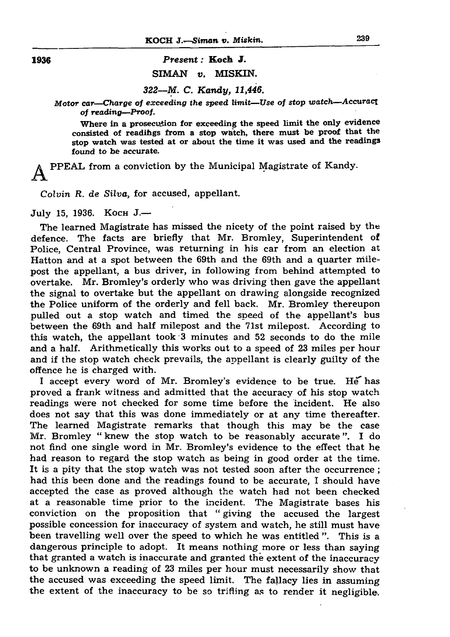## KOCH *J.—Siman v. Miskin.* 239

1936 *Present:* Koch J. SIMAN *v.* MISKIN.

*322—M. C. Kandy, 11,446.*

*Motor car—Charge of exceeding the speed limit—Use of stop watch—Accuracy of reading*—*Proof.*

Where in a prosecution for exceeding the speed limit the only evidence consisted of readihgs from a stop watch, there must be proof that the stop watch was tested at or about the time it was used and the readings found to be accurate.

A PPEAL from a conviction by the Municipal Magistrate of Kandy.

*Colvin R. de Silva,* for accused, appellant.

## July 15, 1936. KOCH J.-

The learned Magistrate has missed the nicety of the point raised by the defence. The facts are briefly that Mr. Bromley, Superintendent of Police, Central Province, was returning in his car from an election at Hatton and at a spot between the 69th and the 69th and a quarter milepost the appellant, a bus driver, in following from behind attempted to overtake. Mr. Bromley's orderly who was driving then gave the appellant the signal to overtake but the appellant on drawing alongside recognized the Police uniform of the orderly and fell back. Mr. Bromley thereupon pulled out a stop watch and timed the speed of the appellant's bus between the 69th and half milepost and the 71st milepost. According to this watch, the appellant took 3 minutes and 52 seconds to do the mile and a half. Arithmetically this works out to a speed of 23 miles per hour and if the stop watch check prevails, the appellant is clearly guilty of the offence he is charged with. I accept every word of Mr. Bromley's evidence to be true. *He* has proved a frank witness and admitted that the accuracy of his stop watch readings were not checked for some time before the incident. He also does not say that this was done immediately or at any time thereafter. The learned Magistrate remarks that though this may be the case Mr. Bromley " knew the stop watch to be reasonably accurate". I do not find one single word in Mr. Bromley's evidence to the effect that he had reason to regard the stop watch as being in good order at the time. It is a pity that the stop watch was not tested soon after the occurrence; had this been done and the readings found to be accurate, I should have accepted the case as proved although the watch had not been checked at a reasonable time prior to the incident. The Magistrate bases his conviction on the proposition that " giving the accused the largest possible concession for inaccuracy of system and watch, he still must have been travelling well over the speed to which he was entitled". This is a dangerous principle to adopt. It means nothing more or less than saying that granted a watch is inaccurate and granted the extent of the inaccuracy to be unknown a reading of 23 miles per hour must necessarily show that the accused was exceeding the speed limit. The fallacy lies in assuming the extent of the inaccuracy to be so trifling as to render it negligible.